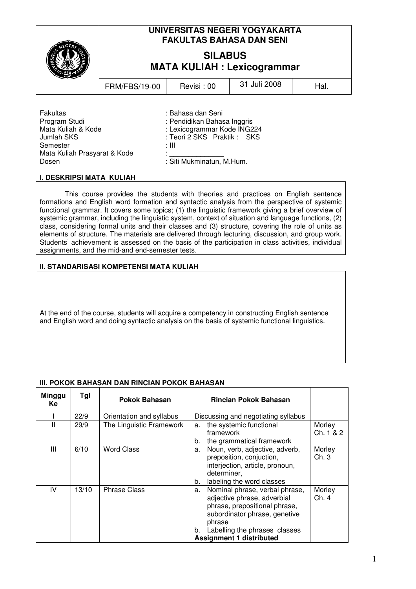## **UNIVERSITAS NEGERI YOGYAKARTA FAKULTAS BAHASA DAN SENI**

## **SILABUS MATA KULIAH : Lexicogrammar**

FRM/FBS/19-00 Revisi : 00  $\,$  31 Juli 2008 | Hal.

Fakultas : Bahasa dan Seni Semester : ill Mata Kuliah Prasyarat & Kode Dosen : Siti Mukminatun, M.Hum.

Program Studi : Pendidikan Bahasa Inggris<br>Mata Kuliah & Kode (indian beritang) : Lexicogrammar Kode ING2 Mata Kuliah & Kode : Lexicogrammar Kode ING224<br>Jumlah SKS : Lexicogrammar Kode ING224 : Teori 2 SKS Praktik : SKS

### **I. DESKRIPSI MATA KULIAH**

This course provides the students with theories and practices on English sentence formations and English word formation and syntactic analysis from the perspective of systemic functional grammar. It covers some topics; (1) the linguistic framework giving a brief overview of systemic grammar, including the linguistic system, context of situation and language functions, (2) class, considering formal units and their classes and (3) structure, covering the role of units as elements of structure. The materials are delivered through lecturing, discussion, and group work. Students' achievement is assessed on the basis of the participation in class activities, individual assignments, and the mid-and end-semester tests.

## **II. STANDARISASI KOMPETENSI MATA KULIAH**

At the end of the course, students will acquire a competency in constructing English sentence and English word and doing syntactic analysis on the basis of systemic functional linguistics.

## **III. POKOK BAHASAN DAN RINCIAN POKOK BAHASAN**

| <b>Minggu</b><br>Ke. | Tgl   | Pokok Bahasan            | <b>Rincian Pokok Bahasan</b>                                                                                                                                                                                              |                     |
|----------------------|-------|--------------------------|---------------------------------------------------------------------------------------------------------------------------------------------------------------------------------------------------------------------------|---------------------|
|                      | 22/9  | Orientation and syllabus | Discussing and negotiating syllabus                                                                                                                                                                                       |                     |
| Ш                    | 29/9  | The Linguistic Framework | the systemic functional<br>a.<br>framework<br>the grammatical framework<br>b.                                                                                                                                             | Morley<br>Ch. 1 & 2 |
| Ш                    | 6/10  | Word Class               | Noun, verb, adjective, adverb,<br>a.<br>preposition, conjuction,<br>interjection, article, pronoun,<br>determiner.<br>labeling the word classes<br>b.                                                                     | Morley<br>Ch. 3     |
| IV                   | 13/10 | <b>Phrase Class</b>      | Nominal phrase, verbal phrase,<br>a.<br>adjective phrase, adverbial<br>phrase, prepositional phrase,<br>subordinator phrase, genetive<br>phrase<br>Labelling the phrases classes<br>b.<br><b>Assignment 1 distributed</b> | Morley<br>Ch. 4     |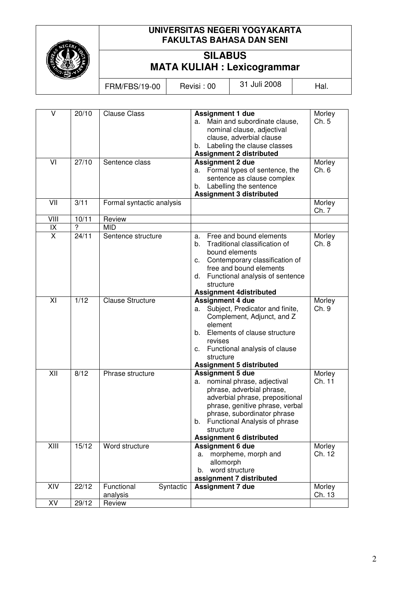

## **UNIVERSITAS NEGERI YOGYAKARTA FAKULTAS BAHASA DAN SENI**

# **SILABUS MATA KULIAH : Lexicogrammar**

FRM/FBS/19-00 Revisi : 00 31 Juli 2008 Hal.

| v                       | 20/10 | <b>Clause Class</b>                 | <b>Assignment 1 due</b><br>Main and subordinate clause,<br>a.<br>nominal clause, adjectival<br>clause, adverbial clause<br>Labeling the clause classes<br>b.<br><b>Assignment 2 distributed</b>                                                                                      | Morley<br>Ch. 5  |
|-------------------------|-------|-------------------------------------|--------------------------------------------------------------------------------------------------------------------------------------------------------------------------------------------------------------------------------------------------------------------------------------|------------------|
| VI                      | 27/10 | Sentence class                      | <b>Assignment 2 due</b><br>Formal types of sentence, the<br>а.<br>sentence as clause complex<br>Labelling the sentence<br>b.<br><b>Assignment 3 distributed</b>                                                                                                                      | Morley<br>Ch. 6  |
| VII                     | 3/11  | Formal syntactic analysis           |                                                                                                                                                                                                                                                                                      | Morley<br>Ch. 7  |
| VIII                    | 10/11 | Review                              |                                                                                                                                                                                                                                                                                      |                  |
| IX                      | ?     | <b>MID</b>                          |                                                                                                                                                                                                                                                                                      |                  |
| $\overline{\mathsf{x}}$ | 24/11 | Sentence structure                  | Free and bound elements<br>a.<br>Traditional classification of<br>b.<br>bound elements<br>Contemporary classification of<br>c.<br>free and bound elements<br>Functional analysis of sentence<br>d.<br>structure<br><b>Assignment 4distributed</b>                                    | Morley<br>Ch. 8  |
| XI                      | 1/12  | <b>Clause Structure</b>             | <b>Assignment 4 due</b><br>Subject, Predicator and finite,<br>а.<br>Complement, Adjunct, and Z<br>element<br>Elements of clause structure<br>b.<br>revises<br>c. Functional analysis of clause<br>structure<br><b>Assignment 5 distributed</b>                                       | Morley<br>Ch. 9  |
| $\overline{X}$          | 8/12  | Phrase structure                    | <b>Assignment 5 due</b><br>nominal phrase, adjectival<br>а.<br>phrase, adverbial phrase,<br>adverbial phrase, prepositional<br>phrase, genitive phrase, verbal<br>phrase, subordinator phrase<br>Functional Analysis of phrase<br>b.<br>structure<br><b>Assignment 6 distributed</b> | Morley<br>Ch. 11 |
| XIII                    | 15/12 | Word structure                      | <b>Assignment 6 due</b><br>a. morpheme, morph and<br>allomorph<br>word structure<br>b.<br>assignment 7 distributed                                                                                                                                                                   | Morley<br>Ch. 12 |
| XIV                     | 22/12 | Functional<br>Syntactic<br>analysis | <b>Assignment 7 due</b>                                                                                                                                                                                                                                                              | Morley<br>Ch. 13 |
| XV                      | 29/12 | Review                              |                                                                                                                                                                                                                                                                                      |                  |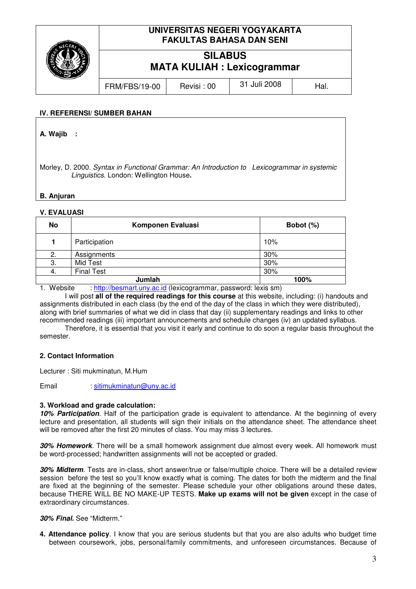

## **UNIVERSITAS NEGERI YOGYAKARTA FAKULTAS BAHASA DAN SENI**

# **SILABUS MATA KULIAH : Lexicogrammar**

FRM/FBS/19-00 Revisi : 00  $\,$  31 Juli 2008 | Hal.

### **IV. REFERENSI/ SUMBER BAHAN**

**A. Wajib :** 

Morley, D. 2000. Syntax in Functional Grammar: An Introduction to Lexicogrammar in systemic Linguistics. London: Wellington House**.** 

### **B. Anjuran**

### **V. EVALUASI**

| No  | Komponen Evaluasi | Bobot (%) |  |
|-----|-------------------|-----------|--|
|     | Participation     | 10%       |  |
| 2.  | Assignments       | 30%       |  |
| 3.  | Mid Test          | 30%       |  |
| -4. | <b>Final Test</b> | 30%       |  |
|     | Jumlah            | 100%      |  |

1. Website : http://besmart.uny.ac.id (lexicogrammar, password: lexis sm)

I will post **all of the required readings for this course** at this website, including: (i) handouts and assignments distributed in each class (by the end of the day of the class in which they were distributed), along with brief summaries of what we did in class that day (ii) supplementary readings and links to other recommended readings (iii) important announcements and schedule changes (iv) an updated syllabus.

Therefore, it is essential that you visit it early and continue to do soon a regular basis throughout the semester.

### **2. Contact Information**

Lecturer : Siti mukminatun, M.Hum

Email : sitimukminatun@uny.ac.id

#### **3. Workload and grade calculation:**

**10% Participation**. Half of the participation grade is equivalent to attendance. At the beginning of every lecture and presentation, all students will sign their initials on the attendance sheet. The attendance sheet will be removed after the first 20 minutes of class. You may miss 3 lectures.

**30% Homework**. There will be a small homework assignment due almost every week. All homework must be word-processed; handwritten assignments will not be accepted or graded.

**30% Midterm**. Tests are in-class, short answer/true or false/multiple choice. There will be a detailed review session before the test so you'll know exactly what is coming. The dates for both the midterm and the final are fixed at the beginning of the semester. Please schedule your other obligations around these dates, because THERE WILL BE NO MAKE-UP TESTS. **Make up exams will not be given** except in the case of extraordinary circumstances.

#### **30% Final.** See "Midterm."

**4. Attendance policy**. I know that you are serious students but that you are also adults who budget time between coursework, jobs, personal/family commitments, and unforeseen circumstances. Because of